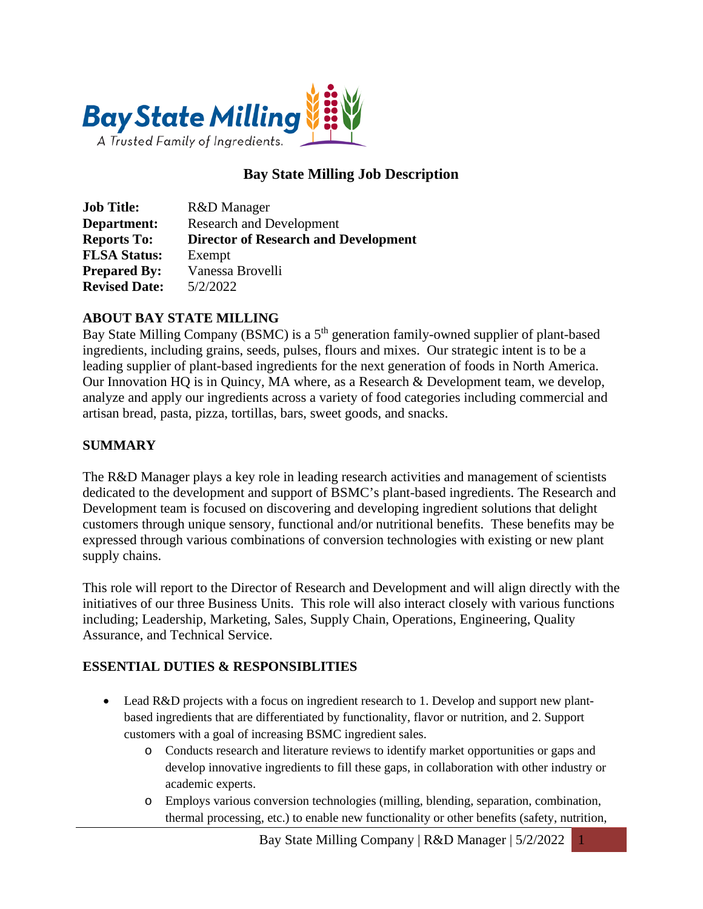

## **Bay State Milling Job Description**

| <b>Job Title:</b>    | R&D Manager                                 |
|----------------------|---------------------------------------------|
| Department:          | <b>Research and Development</b>             |
| <b>Reports To:</b>   | <b>Director of Research and Development</b> |
| <b>FLSA Status:</b>  | Exempt                                      |
| <b>Prepared By:</b>  | Vanessa Brovelli                            |
| <b>Revised Date:</b> | 5/2/2022                                    |

## **ABOUT BAY STATE MILLING**

Bay State Milling Company (BSMC) is a 5<sup>th</sup> generation family-owned supplier of plant-based ingredients, including grains, seeds, pulses, flours and mixes. Our strategic intent is to be a leading supplier of plant-based ingredients for the next generation of foods in North America. Our Innovation HQ is in Quincy, MA where, as a Research & Development team, we develop, analyze and apply our ingredients across a variety of food categories including commercial and artisan bread, pasta, pizza, tortillas, bars, sweet goods, and snacks.

## **SUMMARY**

The R&D Manager plays a key role in leading research activities and management of scientists dedicated to the development and support of BSMC's plant-based ingredients. The Research and Development team is focused on discovering and developing ingredient solutions that delight customers through unique sensory, functional and/or nutritional benefits. These benefits may be expressed through various combinations of conversion technologies with existing or new plant supply chains.

This role will report to the Director of Research and Development and will align directly with the initiatives of our three Business Units. This role will also interact closely with various functions including; Leadership, Marketing, Sales, Supply Chain, Operations, Engineering, Quality Assurance, and Technical Service.

#### **ESSENTIAL DUTIES & RESPONSIBLITIES**

- Lead R&D projects with a focus on ingredient research to 1. Develop and support new plantbased ingredients that are differentiated by functionality, flavor or nutrition, and 2. Support customers with a goal of increasing BSMC ingredient sales.
	- o Conducts research and literature reviews to identify market opportunities or gaps and develop innovative ingredients to fill these gaps, in collaboration with other industry or academic experts.
	- o Employs various conversion technologies (milling, blending, separation, combination, thermal processing, etc.) to enable new functionality or other benefits (safety, nutrition,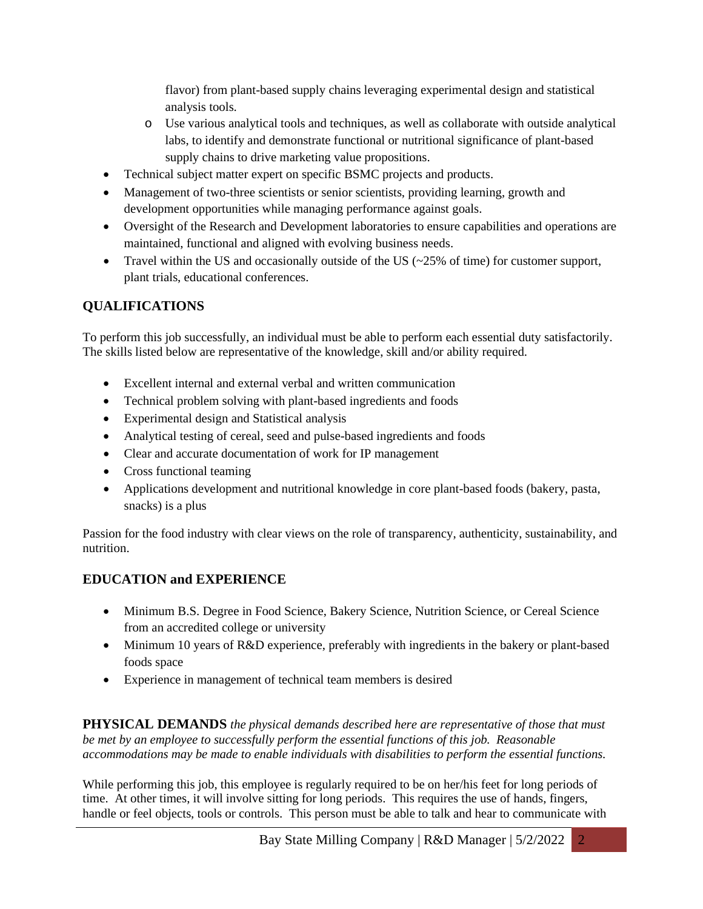flavor) from plant-based supply chains leveraging experimental design and statistical analysis tools.

- o Use various analytical tools and techniques, as well as collaborate with outside analytical labs, to identify and demonstrate functional or nutritional significance of plant-based supply chains to drive marketing value propositions.
- Technical subject matter expert on specific BSMC projects and products.
- Management of two-three scientists or senior scientists, providing learning, growth and development opportunities while managing performance against goals.
- Oversight of the Research and Development laboratories to ensure capabilities and operations are maintained, functional and aligned with evolving business needs.
- Travel within the US and occasionally outside of the US  $(\sim 25\%$  of time) for customer support, plant trials, educational conferences.

# **QUALIFICATIONS**

To perform this job successfully, an individual must be able to perform each essential duty satisfactorily. The skills listed below are representative of the knowledge, skill and/or ability required.

- Excellent internal and external verbal and written communication
- Technical problem solving with plant-based ingredients and foods
- Experimental design and Statistical analysis
- Analytical testing of cereal, seed and pulse-based ingredients and foods
- Clear and accurate documentation of work for IP management
- Cross functional teaming
- Applications development and nutritional knowledge in core plant-based foods (bakery, pasta, snacks) is a plus

Passion for the food industry with clear views on the role of transparency, authenticity, sustainability, and nutrition.

# **EDUCATION and EXPERIENCE**

- Minimum B.S. Degree in Food Science, Bakery Science, Nutrition Science, or Cereal Science from an accredited college or university
- Minimum 10 years of R&D experience, preferably with ingredients in the bakery or plant-based foods space
- Experience in management of technical team members is desired

**PHYSICAL DEMANDS** *the physical demands described here are representative of those that must be met by an employee to successfully perform the essential functions of this job. Reasonable accommodations may be made to enable individuals with disabilities to perform the essential functions.*

While performing this job, this employee is regularly required to be on her/his feet for long periods of time. At other times, it will involve sitting for long periods. This requires the use of hands, fingers, handle or feel objects, tools or controls. This person must be able to talk and hear to communicate with